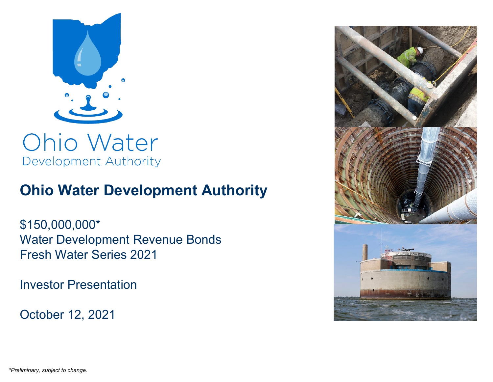

Development Authority

# **Ohio Water Development Authority**

\$150,000,000\* Water Development Revenue Bonds Fresh Water Series 2021

Investor Presentation

October 12, 2021

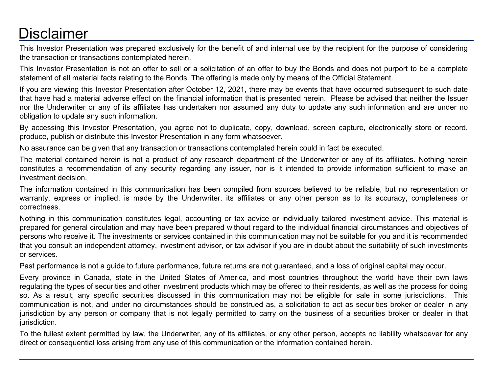# **Disclaimer**

This Investor Presentation was prepared exclusively for the benefit of and internal use by the recipient for the purpose of considering the transaction or transactions contemplated herein.

This Investor Presentation is not an offer to sell or a solicitation of an offer to buy the Bonds and does not purport to be a complete statement of all material facts relating to the Bonds. The offering is made only by means of the Official Statement.

If you are viewing this Investor Presentation after October 12, 2021, there may be events that have occurred subsequent to such date that have had a material adverse effect on the financial information that is presented herein. Please be advised that neither the Issuer nor the Underwriter or any of its affiliates has undertaken nor assumed any duty to update any such information and are under no obligation to update any such information.

By accessing this Investor Presentation, you agree not to duplicate, copy, download, screen capture, electronically store or record, produce, publish or distribute this Investor Presentation in any form whatsoever.

No assurance can be given that any transaction or transactions contemplated herein could in fact be executed.

The material contained herein is not a product of any research department of the Underwriter or any of its affiliates. Nothing herein constitutes a recommendation of any security regarding any issuer, nor is it intended to provide information sufficient to make an investment decision.

The information contained in this communication has been compiled from sources believed to be reliable, but no representation or warranty, express or implied, is made by the Underwriter, its affiliates or any other person as to its accuracy, completeness or correctness.

Nothing in this communication constitutes legal, accounting or tax advice or individually tailored investment advice. This material is prepared for general circulation and may have been prepared without regard to the individual financial circumstances and objectives of persons who receive it. The investments or services contained in this communication may not be suitable for you and it is recommended that you consult an independent attorney, investment advisor, or tax advisor if you are in doubt about the suitability of such investments or services.

Past performance is not a guide to future performance, future returns are not guaranteed, and a loss of original capital may occur.

Every province in Canada, state in the United States of America, and most countries throughout the world have their own laws regulating the types of securities and other investment products which may be offered to their residents, as well as the process for doing so. As a result, any specific securities discussed in this communication may not be eligible for sale in some jurisdictions. This communication is not, and under no circumstances should be construed as, a solicitation to act as securities broker or dealer in any jurisdiction by any person or company that is not legally permitted to carry on the business of a securities broker or dealer in that jurisdiction.

To the fullest extent permitted by law, the Underwriter, any of its affiliates, or any other person, accepts no liability whatsoever for any direct or consequential loss arising from any use of this communication or the information contained herein.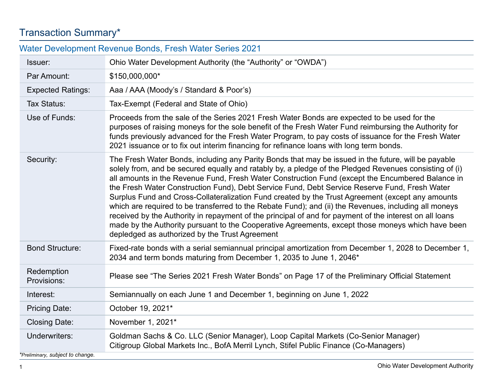# Transaction Summary\*

| Water Development Revenue Bonds, Fresh Water Series 2021 |                                                                                                                                                                                                                                                                                                                                                                                                                                                                                                                                                                                                                                                                                                                                                                                                                                                                                                   |  |  |  |  |  |
|----------------------------------------------------------|---------------------------------------------------------------------------------------------------------------------------------------------------------------------------------------------------------------------------------------------------------------------------------------------------------------------------------------------------------------------------------------------------------------------------------------------------------------------------------------------------------------------------------------------------------------------------------------------------------------------------------------------------------------------------------------------------------------------------------------------------------------------------------------------------------------------------------------------------------------------------------------------------|--|--|--|--|--|
| Issuer:                                                  | Ohio Water Development Authority (the "Authority" or "OWDA")                                                                                                                                                                                                                                                                                                                                                                                                                                                                                                                                                                                                                                                                                                                                                                                                                                      |  |  |  |  |  |
| Par Amount:                                              | \$150,000,000*                                                                                                                                                                                                                                                                                                                                                                                                                                                                                                                                                                                                                                                                                                                                                                                                                                                                                    |  |  |  |  |  |
| <b>Expected Ratings:</b>                                 | Aaa / AAA (Moody's / Standard & Poor's)                                                                                                                                                                                                                                                                                                                                                                                                                                                                                                                                                                                                                                                                                                                                                                                                                                                           |  |  |  |  |  |
| Tax Status:                                              | Tax-Exempt (Federal and State of Ohio)                                                                                                                                                                                                                                                                                                                                                                                                                                                                                                                                                                                                                                                                                                                                                                                                                                                            |  |  |  |  |  |
| Use of Funds:                                            | Proceeds from the sale of the Series 2021 Fresh Water Bonds are expected to be used for the<br>purposes of raising moneys for the sole benefit of the Fresh Water Fund reimbursing the Authority for<br>funds previously advanced for the Fresh Water Program, to pay costs of issuance for the Fresh Water<br>2021 issuance or to fix out interim financing for refinance loans with long term bonds.                                                                                                                                                                                                                                                                                                                                                                                                                                                                                            |  |  |  |  |  |
| Security:                                                | The Fresh Water Bonds, including any Parity Bonds that may be issued in the future, will be payable<br>solely from, and be secured equally and ratably by, a pledge of the Pledged Revenues consisting of (i)<br>all amounts in the Revenue Fund, Fresh Water Construction Fund (except the Encumbered Balance in<br>the Fresh Water Construction Fund), Debt Service Fund, Debt Service Reserve Fund, Fresh Water<br>Surplus Fund and Cross-Collateralization Fund created by the Trust Agreement (except any amounts<br>which are required to be transferred to the Rebate Fund); and (ii) the Revenues, including all moneys<br>received by the Authority in repayment of the principal of and for payment of the interest on all loans<br>made by the Authority pursuant to the Cooperative Agreements, except those moneys which have been<br>depledged as authorized by the Trust Agreement |  |  |  |  |  |
| <b>Bond Structure:</b>                                   | Fixed-rate bonds with a serial semiannual principal amortization from December 1, 2028 to December 1,<br>2034 and term bonds maturing from December 1, 2035 to June 1, 2046*                                                                                                                                                                                                                                                                                                                                                                                                                                                                                                                                                                                                                                                                                                                      |  |  |  |  |  |
| Redemption<br>Provisions:                                | Please see "The Series 2021 Fresh Water Bonds" on Page 17 of the Preliminary Official Statement                                                                                                                                                                                                                                                                                                                                                                                                                                                                                                                                                                                                                                                                                                                                                                                                   |  |  |  |  |  |
| Interest:                                                | Semiannually on each June 1 and December 1, beginning on June 1, 2022                                                                                                                                                                                                                                                                                                                                                                                                                                                                                                                                                                                                                                                                                                                                                                                                                             |  |  |  |  |  |
| <b>Pricing Date:</b>                                     | October 19, 2021*                                                                                                                                                                                                                                                                                                                                                                                                                                                                                                                                                                                                                                                                                                                                                                                                                                                                                 |  |  |  |  |  |
| <b>Closing Date:</b>                                     | November 1, 2021*                                                                                                                                                                                                                                                                                                                                                                                                                                                                                                                                                                                                                                                                                                                                                                                                                                                                                 |  |  |  |  |  |
| Underwriters:<br>*Preliminary, subject to change.        | Goldman Sachs & Co. LLC (Senior Manager), Loop Capital Markets (Co-Senior Manager)<br>Citigroup Global Markets Inc., BofA Merril Lynch, Stifel Public Finance (Co-Managers)                                                                                                                                                                                                                                                                                                                                                                                                                                                                                                                                                                                                                                                                                                                       |  |  |  |  |  |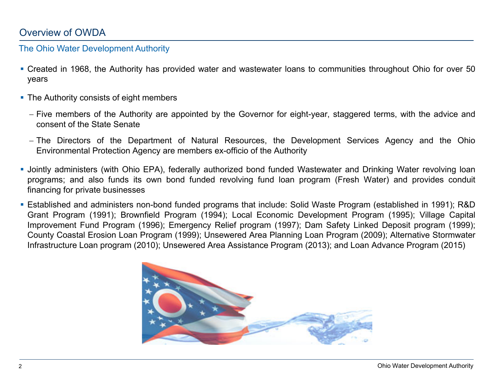# Overview of OWDA

#### The Ohio Water Development Authority

- Created in 1968, the Authority has provided water and wastewater loans to communities throughout Ohio for over 50 years
- The Authority consists of eight members
	- − Five members of the Authority are appointed by the Governor for eight-year, staggered terms, with the advice and consent of the State Senate
	- − The Directors of the Department of Natural Resources, the Development Services Agency and the Ohio Environmental Protection Agency are members ex-officio of the Authority
- Jointly administers (with Ohio EPA), federally authorized bond funded Wastewater and Drinking Water revolving loan programs; and also funds its own bond funded revolving fund loan program (Fresh Water) and provides conduit financing for private businesses
- Established and administers non-bond funded programs that include: Solid Waste Program (established in 1991); R&D Grant Program (1991); Brownfield Program (1994); Local Economic Development Program (1995); Village Capital Improvement Fund Program (1996); Emergency Relief program (1997); Dam Safety Linked Deposit program (1999); County Coastal Erosion Loan Program (1999); Unsewered Area Planning Loan Program (2009); Alternative Stormwater Infrastructure Loan program (2010); Unsewered Area Assistance Program (2013); and Loan Advance Program (2015)

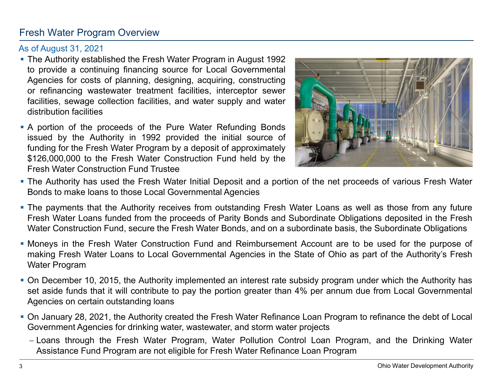# Fresh Water Program Overview

#### As of August 31, 2021

- The Authority established the Fresh Water Program in August 1992 to provide a continuing financing source for Local Governmental Agencies for costs of planning, designing, acquiring, constructing or refinancing wastewater treatment facilities, interceptor sewer facilities, sewage collection facilities, and water supply and water distribution facilities
- **A** portion of the proceeds of the Pure Water Refunding Bonds issued by the Authority in 1992 provided the initial source of funding for the Fresh Water Program by a deposit of approximately \$126,000,000 to the Fresh Water Construction Fund held by the Fresh Water Construction Fund Trustee



- The Authority has used the Fresh Water Initial Deposit and a portion of the net proceeds of various Fresh Water Bonds to make loans to those Local Governmental Agencies
- **The payments that the Authority receives from outstanding Fresh Water Loans as well as those from any future** Fresh Water Loans funded from the proceeds of Parity Bonds and Subordinate Obligations deposited in the Fresh Water Construction Fund, secure the Fresh Water Bonds, and on a subordinate basis, the Subordinate Obligations
- Moneys in the Fresh Water Construction Fund and Reimbursement Account are to be used for the purpose of making Fresh Water Loans to Local Governmental Agencies in the State of Ohio as part of the Authority's Fresh Water Program
- On December 10, 2015, the Authority implemented an interest rate subsidy program under which the Authority has set aside funds that it will contribute to pay the portion greater than 4% per annum due from Local Governmental Agencies on certain outstanding loans
- On January 28, 2021, the Authority created the Fresh Water Refinance Loan Program to refinance the debt of Local Government Agencies for drinking water, wastewater, and storm water projects
	- − Loans through the Fresh Water Program, Water Pollution Control Loan Program, and the Drinking Water Assistance Fund Program are not eligible for Fresh Water Refinance Loan Program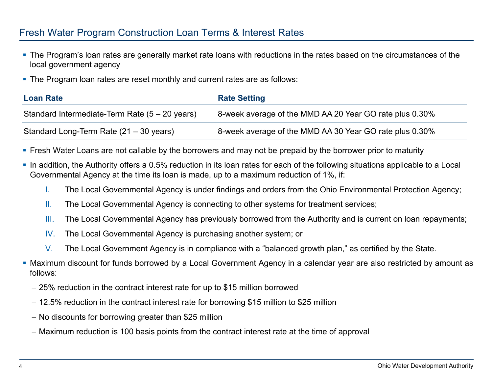## Fresh Water Program Construction Loan Terms & Interest Rates

- The Program's loan rates are generally market rate loans with reductions in the rates based on the circumstances of the local government agency
- **The Program loan rates are reset monthly and current rates are as follows:**

| <b>Loan Rate</b>                                  | <b>Rate Setting</b>                                     |
|---------------------------------------------------|---------------------------------------------------------|
| Standard Intermediate-Term Rate $(5 - 20$ years)  | 8-week average of the MMD AA 20 Year GO rate plus 0.30% |
| Standard Long-Term Rate $(21 – 30 \text{ years})$ | 8-week average of the MMD AA 30 Year GO rate plus 0.30% |

- **Figure 1** Fresh Water Loans are not callable by the borrowers and may not be prepaid by the borrower prior to maturity
- In addition, the Authority offers a 0.5% reduction in its loan rates for each of the following situations applicable to a Local Governmental Agency at the time its loan is made, up to a maximum reduction of 1%, if:
	- I. The Local Governmental Agency is under findings and orders from the Ohio Environmental Protection Agency;
	- II. The Local Governmental Agency is connecting to other systems for treatment services;
	- III. The Local Governmental Agency has previously borrowed from the Authority and is current on loan repayments;
	- IV. The Local Governmental Agency is purchasing another system; or
	- V. The Local Government Agency is in compliance with a "balanced growth plan," as certified by the State.
- Maximum discount for funds borrowed by a Local Government Agency in a calendar year are also restricted by amount as follows:
	- − 25% reduction in the contract interest rate for up to \$15 million borrowed
	- − 12.5% reduction in the contract interest rate for borrowing \$15 million to \$25 million
	- − No discounts for borrowing greater than \$25 million
	- − Maximum reduction is 100 basis points from the contract interest rate at the time of approval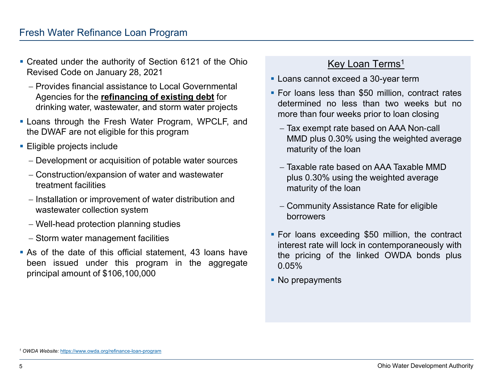- Created under the authority of Section 6121 of the Ohio Revised Code on January 28, 2021
	- − Provides financial assistance to Local Governmental Agencies for the **refinancing of existing debt** for drinking water, wastewater, and storm water projects
- **Example 1** Loans through the Fresh Water Program, WPCLF, and the DWAF are not eligible for this program
- **Eligible projects include** 
	- − Development or acquisition of potable water sources
	- − Construction/expansion of water and wastewater treatment facilities
	- − Installation or improvement of water distribution and wastewater collection system
	- − Well-head protection planning studies
	- − Storm water management facilities
- As of the date of this official statement, 43 loans have been issued under this program in the aggregate principal amount of \$106,100,000

# Key Loan Terms<sup>1</sup>

- **Loans cannot exceed a 30-year term**
- **For loans less than \$50 million, contract rates** determined no less than two weeks but no more than four weeks prior to loan closing
	- − Tax exempt rate based on AAA Non‐call MMD plus 0.30% using the weighted average maturity of the loan
	- − Taxable rate based on AAA Taxable MMD plus 0.30% using the weighted average maturity of the loan
	- − Community Assistance Rate for eligible borrowers
- For loans exceeding \$50 million, the contract interest rate will lock in contemporaneously with the pricing of the linked OWDA bonds plus 0.05%
- No prepayments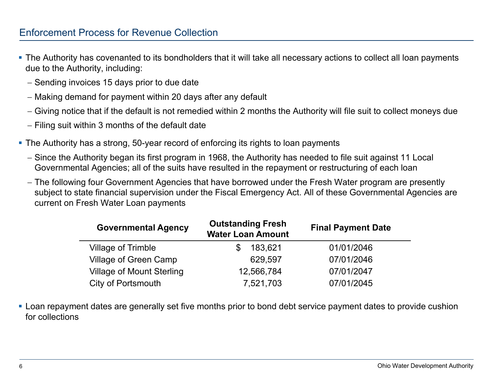## Enforcement Process for Revenue Collection

- The Authority has covenanted to its bondholders that it will take all necessary actions to collect all loan payments due to the Authority, including:
	- − Sending invoices 15 days prior to due date
	- − Making demand for payment within 20 days after any default
	- − Giving notice that if the default is not remedied within 2 months the Authority will file suit to collect moneys due
	- − Filing suit within 3 months of the default date
- The Authority has a strong, 50-year record of enforcing its rights to loan payments
	- − Since the Authority began its first program in 1968, the Authority has needed to file suit against 11 Local Governmental Agencies; all of the suits have resulted in the repayment or restructuring of each loan
	- − The following four Government Agencies that have borrowed under the Fresh Water program are presently subject to state financial supervision under the Fiscal Emergency Act. All of these Governmental Agencies are current on Fresh Water Loan payments

| <b>Governmental Agency</b>       | <b>Outstanding Fresh</b><br><b>Water Loan Amount</b> | <b>Final Payment Date</b> |
|----------------------------------|------------------------------------------------------|---------------------------|
| <b>Village of Trimble</b>        | 183,621                                              | 01/01/2046                |
| <b>Village of Green Camp</b>     | 629,597                                              | 07/01/2046                |
| <b>Village of Mount Sterling</b> | 12,566,784                                           | 07/01/2047                |
| <b>City of Portsmouth</b>        | 7,521,703                                            | 07/01/2045                |

**-** Loan repayment dates are generally set five months prior to bond debt service payment dates to provide cushion for collections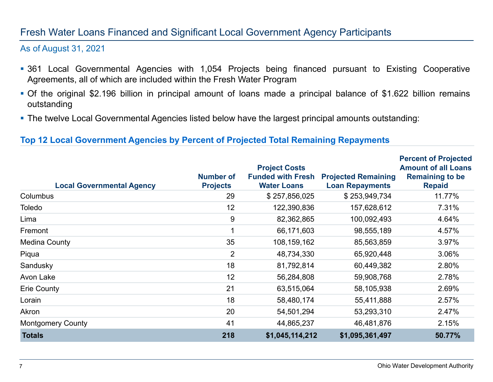## Fresh Water Loans Financed and Significant Local Government Agency Participants

#### As of August 31, 2021

- 361 Local Governmental Agencies with 1,054 Projects being financed pursuant to Existing Cooperative Agreements, all of which are included within the Fresh Water Program
- Of the original \$2.196 billion in principal amount of loans made a principal balance of \$1.622 billion remains outstanding
- **The twelve Local Governmental Agencies listed below have the largest principal amounts outstanding:**

#### **Top 12 Local Government Agencies by Percent of Projected Total Remaining Repayments**

| <b>Local Governmental Agency</b> | <b>Number of</b><br><b>Projects</b> | <b>Project Costs</b><br><b>Funded with Fresh</b><br><b>Water Loans</b> | <b>Projected Remaining</b><br><b>Loan Repayments</b> | <b>Percent of Projected</b><br><b>Amount of all Loans</b><br><b>Remaining to be</b><br><b>Repaid</b> |
|----------------------------------|-------------------------------------|------------------------------------------------------------------------|------------------------------------------------------|------------------------------------------------------------------------------------------------------|
| <b>Columbus</b>                  | 29                                  | \$257,856,025                                                          | \$253,949,734                                        | 11.77%                                                                                               |
| Toledo                           | 12                                  | 122,390,836                                                            | 157,628,612                                          | 7.31%                                                                                                |
| Lima                             | 9                                   | 82,362,865                                                             | 100,092,493                                          | 4.64%                                                                                                |
| Fremont                          |                                     | 66,171,603                                                             | 98,555,189                                           | 4.57%                                                                                                |
| Medina County                    | 35                                  | 108,159,162                                                            | 85,563,859                                           | 3.97%                                                                                                |
| Piqua                            | $\overline{2}$                      | 48,734,330                                                             | 65,920,448                                           | 3.06%                                                                                                |
| Sandusky                         | 18                                  | 81,792,814                                                             | 60,449,382                                           | 2.80%                                                                                                |
| Avon Lake                        | 12                                  | 56,284,808                                                             | 59,908,768                                           | 2.78%                                                                                                |
| <b>Erie County</b>               | 21                                  | 63,515,064                                                             | 58,105,938                                           | 2.69%                                                                                                |
| Lorain                           | 18                                  | 58,480,174                                                             | 55,411,888                                           | 2.57%                                                                                                |
| Akron                            | 20                                  | 54,501,294                                                             | 53,293,310                                           | 2.47%                                                                                                |
| <b>Montgomery County</b>         | 41                                  | 44,865,237                                                             | 46,481,876                                           | 2.15%                                                                                                |
| <b>Totals</b>                    | 218                                 | \$1,045,114,212                                                        | \$1,095,361,497                                      | 50.77%                                                                                               |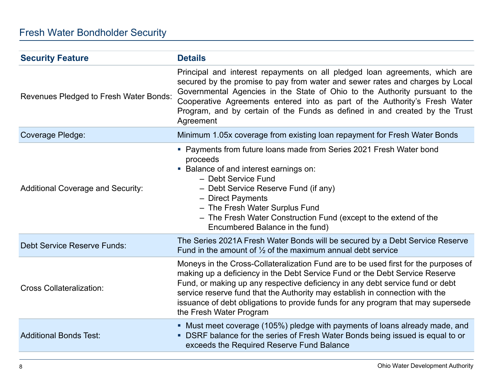| <b>Security Feature</b>                  | <b>Details</b>                                                                                                                                                                                                                                                                                                                                                                                                                                     |
|------------------------------------------|----------------------------------------------------------------------------------------------------------------------------------------------------------------------------------------------------------------------------------------------------------------------------------------------------------------------------------------------------------------------------------------------------------------------------------------------------|
| Revenues Pledged to Fresh Water Bonds:   | Principal and interest repayments on all pledged loan agreements, which are<br>secured by the promise to pay from water and sewer rates and charges by Local<br>Governmental Agencies in the State of Ohio to the Authority pursuant to the<br>Cooperative Agreements entered into as part of the Authority's Fresh Water<br>Program, and by certain of the Funds as defined in and created by the Trust<br>Agreement                              |
| <b>Coverage Pledge:</b>                  | Minimum 1.05x coverage from existing loan repayment for Fresh Water Bonds                                                                                                                                                                                                                                                                                                                                                                          |
| <b>Additional Coverage and Security:</b> | • Payments from future loans made from Series 2021 Fresh Water bond<br>proceeds<br>• Balance of and interest earnings on:<br>- Debt Service Fund<br>- Debt Service Reserve Fund (if any)<br>- Direct Payments<br>- The Fresh Water Surplus Fund<br>- The Fresh Water Construction Fund (except to the extend of the<br>Encumbered Balance in the fund)                                                                                             |
| <b>Debt Service Reserve Funds:</b>       | The Series 2021A Fresh Water Bonds will be secured by a Debt Service Reserve<br>Fund in the amount of $\frac{1}{2}$ of the maximum annual debt service                                                                                                                                                                                                                                                                                             |
| <b>Cross Collateralization:</b>          | Moneys in the Cross-Collateralization Fund are to be used first for the purposes of<br>making up a deficiency in the Debt Service Fund or the Debt Service Reserve<br>Fund, or making up any respective deficiency in any debt service fund or debt<br>service reserve fund that the Authority may establish in connection with the<br>issuance of debt obligations to provide funds for any program that may supersede<br>the Fresh Water Program |
| <b>Additional Bonds Test:</b>            | • Must meet coverage (105%) pledge with payments of loans already made, and<br>• DSRF balance for the series of Fresh Water Bonds being issued is equal to or<br>exceeds the Required Reserve Fund Balance                                                                                                                                                                                                                                         |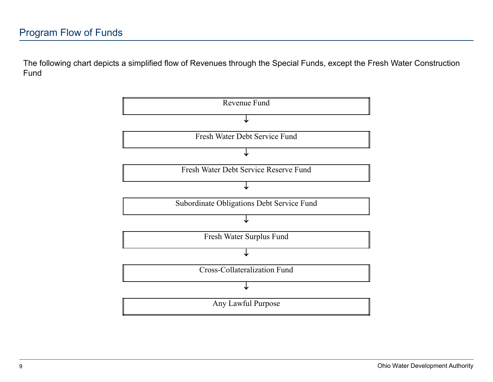The following chart depicts a simplified flow of Revenues through the Special Funds, except the Fresh Water Construction Fund

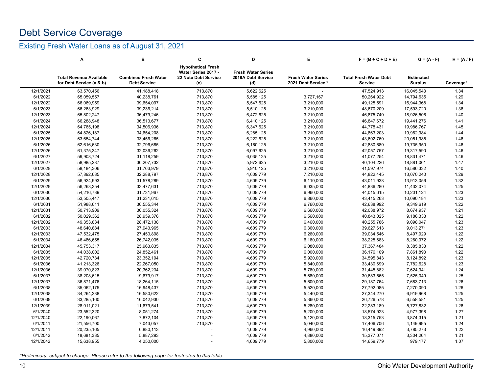# Debt Service Coverage

#### Existing Fresh Water Loans as of August 31, 2021

|           | Α                                                          | в                                                  | C                                                                               | D                                                      | Е                                                | $F = (B + C + D + E)$                    | $G = (A - F)$                      | $H = (A/F)$ |
|-----------|------------------------------------------------------------|----------------------------------------------------|---------------------------------------------------------------------------------|--------------------------------------------------------|--------------------------------------------------|------------------------------------------|------------------------------------|-------------|
|           | <b>Total Revenue Available</b><br>for Debt Service (a & b) | <b>Combined Fresh Water</b><br><b>Debt Service</b> | <b>Hypothetical Fresh</b><br>Water Series 2017 -<br>22 Note Debt Service<br>(c) | <b>Fresh Water Series</b><br>2018A Debt Service<br>(d) | <b>Fresh Water Series</b><br>2021 Debt Service * | <b>Total Fresh Water Debt</b><br>Service | <b>Estimated</b><br><b>Surplus</b> | Coverage*   |
| 12/1/2021 | 63,570,456                                                 | 41,188,418                                         | 713,870                                                                         | 5,622,625                                              |                                                  | 47,524,913                               | 16,045,543                         | 1.34        |
| 6/1/2022  | 65,059,557                                                 | 40,238,761                                         | 713,870                                                                         | 5,585,125                                              | 3,727,167                                        | 50,264,922                               | 14,794,635                         | 1.29        |
| 12/1/2022 | 66,069,959                                                 | 39,654,097                                         | 713,870                                                                         | 5,547,625                                              | 3,210,000                                        | 49,125,591                               | 16,944,368                         | 1.34        |
| 6/1/2023  | 66,263,929                                                 | 39,236,214                                         | 713,870                                                                         | 5,510,125                                              | 3,210,000                                        | 48,670,209                               | 17,593,720                         | 1.36        |
| 12/1/2023 | 65,802,247                                                 | 36,479,246                                         | 713,870                                                                         | 6,472,625                                              | 3,210,000                                        | 46,875,740                               | 18,926,506                         | 1.40        |
| 6/1/2024  | 66,288,948                                                 | 36,513,677                                         | 713,870                                                                         | 6,410,125                                              | 3,210,000                                        | 46,847,672                               | 19,441,276                         | 1.41        |
| 12/1/2024 | 64,765,198                                                 | 34,506,936                                         | 713,870                                                                         | 6,347,625                                              | 3,210,000                                        | 44,778,431                               | 19,986,767                         | 1.45        |
| 6/1/2025  | 64,826,187                                                 | 34,654,208                                         | 713,870                                                                         | 6,285,125                                              | 3,210,000                                        | 44,863,203                               | 19,962,984                         | 1.44        |
| 12/1/2025 | 63,654,744                                                 | 33,456,265                                         | 713,870                                                                         | 6,222,625                                              | 3,210,000                                        | 43,602,760                               | 20,051,985                         | 1.46        |
| 6/1/2026  | 62,616,630                                                 | 32,796,685                                         | 713,870                                                                         | 6,160,125                                              | 3,210,000                                        | 42,880,680                               | 19,735,950                         | 1.46        |
| 12/1/2026 | 61,375,347                                                 | 32,036,262                                         | 713,870                                                                         | 6,097,625                                              | 3,210,000                                        | 42,057,757                               | 19,317,590                         | 1.46        |
| 6/1/2027  | 59,908,724                                                 | 31,118,259                                         | 713,870                                                                         | 6,035,125                                              | 3,210,000                                        | 41,077,254                               | 18,831,471                         | 1.46        |
| 12/1/2027 | 58,985,287                                                 | 30,207,732                                         | 713,870                                                                         | 5,972,625                                              | 3,210,000                                        | 40,104,226                               | 18,881,061                         | 1.47        |
| 6/1/2028  | 58,184,306                                                 | 31,763,979                                         | 713,870                                                                         | 5,910,125                                              | 3,210,000                                        | 41,597,974                               | 16,586,332                         | 1.40        |
| 12/1/2028 | 57,892,685                                                 | 32,288,797                                         | 713,870                                                                         | 4,609,779                                              | 7,210,000                                        | 44,822,445                               | 13,070,240                         | 1.29        |
| 6/1/2029  | 56,924,993                                                 | 31,578,289                                         | 713,870                                                                         | 4,609,779                                              | 6,110,000                                        | 43,011,938                               | 13,913,056                         | 1.32        |
| 12/1/2029 | 56,268,354                                                 | 33,477,631                                         | 713,870                                                                         | 4,609,779                                              | 6,035,000                                        | 44,836,280                               | 11,432,074                         | 1.25        |
| 6/1/2030  | 54,216,739                                                 | 31,731,967                                         | 713,870                                                                         | 4,609,779                                              | 6,960,000                                        | 44,015,615                               | 10,201,124                         | 1.23        |
| 12/1/2030 | 53,505,447                                                 | 31,231,615                                         | 713,870                                                                         | 4,609,779                                              | 6,860,000                                        | 43,415,263                               | 10,090,184                         | 1.23        |
| 6/1/2031  | 51,988,611                                                 | 30,555,344                                         | 713,870                                                                         | 4,609,779                                              | 6,760,000                                        | 42,638,992                               | 9,349,619                          | 1.22        |
| 12/1/2031 | 50,713,909                                                 | 30,055,324                                         | 713,870                                                                         | 4,609,779                                              | 6,660,000                                        | 42,038,972                               | 8,674,937                          | 1.21        |
| 6/1/2032  | 50,029,362                                                 | 28,959,376                                         | 713,870                                                                         | 4,609,779                                              | 6,560,000                                        | 40,843,025                               | 9,186,338                          | 1.22        |
| 12/1/2032 | 49,353,834                                                 | 28,472,138                                         | 713,870                                                                         | 4,609,779                                              | 6,460,000                                        | 40,255,786                               | 9,098,047                          | 1.23        |
| 6/1/2033  | 48,640,884                                                 | 27,943,965                                         | 713,870                                                                         | 4,609,779                                              | 6,360,000                                        | 39,627,613                               | 9,013,271                          | 1.23        |
| 12/1/2033 | 47,532,475                                                 | 27,450,898                                         | 713,870                                                                         | 4,609,779                                              | 6,260,000                                        | 39,034,546                               | 8,497,929                          | 1.22        |
| 6/1/2034  | 46,486,655                                                 | 26,742,035                                         | 713,870                                                                         | 4,609,779                                              | 6,160,000                                        | 38,225,683                               | 8,260,972                          | 1.22        |
| 12/1/2034 | 45,753,317                                                 | 25,963,835                                         | 713,870                                                                         | 4,609,779                                              | 6,080,000                                        | 37,367,484                               | 8,385,833                          | 1.22        |
| 6/1/2035  | 44,038,002                                                 | 24,852,461                                         | 713,870                                                                         | 4,609,779                                              | 6,000,000                                        | 36,176,109                               | 7,861,893                          | 1.22        |
| 12/1/2035 | 42,720,734                                                 | 23,352,194                                         | 713,870                                                                         | 4,609,779                                              | 5,920,000                                        | 34,595,843                               | 8,124,892                          | 1.23        |
| 6/1/2036  | 41,213,326                                                 | 22,267,050                                         | 713,870                                                                         | 4,609,779                                              | 5,840,000                                        | 33,430,699                               | 7,782,628                          | 1.23        |
| 12/1/2036 | 39,070,823                                                 | 20,362,234                                         | 713,870                                                                         | 4,609,779                                              | 5,760,000                                        | 31,445,882                               | 7,624,941                          | 1.24        |
| 6/1/2037  | 38,208,615                                                 | 19,679,917                                         | 713,870                                                                         | 4,609,779                                              | 5,680,000                                        | 30,683,565                               | 7,525,049                          | 1.25        |
| 12/1/2037 | 36,871,476                                                 | 18,264,115                                         | 713,870                                                                         | 4,609,779                                              | 5,600,000                                        | 29, 187, 764                             | 7,683,713                          | 1.26        |
| 6/1/2038  | 35,062,175                                                 | 16,948,437                                         | 713,870                                                                         | 4,609,779                                              | 5,520,000                                        | 27,792,085                               | 7,270,090                          | 1.26        |
| 12/1/2038 |                                                            | 16,580,622                                         | 713,870                                                                         | 4,609,779                                              | 5,440,000                                        |                                          | 6,919,968                          | 1.25        |
| 6/1/2039  | 34,264,238<br>33,285,160                                   | 16,042,930                                         | 713,870                                                                         | 4,609,779                                              | 5,360,000                                        | 27,344,270<br>26,726,578                 | 6,558,581                          | 1.25        |
| 12/1/2039 |                                                            |                                                    | 713,870                                                                         | 4,609,779                                              |                                                  | 22,283,189                               | 5,727,832                          | 1.26        |
|           | 28,011,021                                                 | 11,679,541                                         |                                                                                 |                                                        | 5,280,000                                        |                                          |                                    |             |
| 6/1/2040  | 23,552,320                                                 | 8,051,274                                          | 713,870                                                                         | 4,609,779                                              | 5,200,000                                        | 18,574,923                               | 4,977,398                          | 1.27        |
| 12/1/2040 | 22,190,067                                                 | 7,872,104                                          | 713,870                                                                         | 4,609,779                                              | 5,120,000                                        | 18,315,753                               | 3,874,315                          | 1.21        |
| 6/1/2041  | 21,556,700                                                 | 7,043,057                                          | 713,870                                                                         | 4,609,779                                              | 5,040,000                                        | 17,406,706                               | 4,149,995                          | 1.24        |
| 12/1/2041 | 20,235,165                                                 | 6,880,113                                          |                                                                                 | 4,609,779                                              | 4,960,000                                        | 16,449,892                               | 3,785,273                          | 1.23        |
| 6/1/2042  | 18,681,335                                                 | 5,887,293                                          |                                                                                 | 4,609,779                                              | 4,880,000                                        | 15,377,071                               | 3,304,264                          | 1.21        |
| 12/1/2042 | 15,638,955                                                 | 4,250,000                                          |                                                                                 | 4,609,779                                              | 5,800,000                                        | 14,659,779                               | 979,177                            | 1.07        |

*\*Preliminary, subject to change. Please refer to the following page for footnotes to this table.*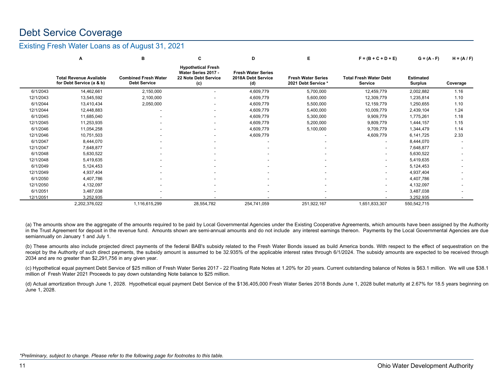# Debt Service Coverage

#### Existing Fresh Water Loans as of August 31, 2021

|           | А                                                          | в                                                  | C                                                                               | D                                                      | Е                                                | $F = (B + C + D + E)$                    | $G = (A - F)$                      | $H = (A/F)$ |
|-----------|------------------------------------------------------------|----------------------------------------------------|---------------------------------------------------------------------------------|--------------------------------------------------------|--------------------------------------------------|------------------------------------------|------------------------------------|-------------|
|           | <b>Total Revenue Available</b><br>for Debt Service (a & b) | <b>Combined Fresh Water</b><br><b>Debt Service</b> | <b>Hypothetical Fresh</b><br>Water Series 2017 -<br>22 Note Debt Service<br>(c) | <b>Fresh Water Series</b><br>2018A Debt Service<br>(d) | <b>Fresh Water Series</b><br>2021 Debt Service * | <b>Total Fresh Water Debt</b><br>Service | <b>Estimated</b><br><b>Surplus</b> | Coverage    |
| 6/1/2043  | 14,462,661                                                 | 2,150,000                                          | ۰                                                                               | 4,609,779                                              | 5,700,000                                        | 12,459,779                               | 2,002,882                          | 1.16        |
| 12/1/2043 | 13,545,592                                                 | 2,100,000                                          |                                                                                 | 4,609,779                                              | 5,600,000                                        | 12,309,779                               | 1,235,814                          | 1.10        |
| 6/1/2044  | 13,410,434                                                 | 2,050,000                                          | $\overline{\phantom{0}}$                                                        | 4,609,779                                              | 5,500,000                                        | 12,159,779                               | 1,250,655                          | 1.10        |
| 12/1/2044 | 12,448,883                                                 |                                                    |                                                                                 | 4,609,779                                              | 5,400,000                                        | 10,009,779                               | 2,439,104                          | 1.24        |
| 6/1/2045  | 11,685,040                                                 |                                                    | $\overline{\phantom{a}}$                                                        | 4,609,779                                              | 5,300,000                                        | 9,909,779                                | 1,775,261                          | 1.18        |
| 12/1/2045 | 11,253,935                                                 |                                                    | $\overline{\phantom{0}}$                                                        | 4,609,779                                              | 5,200,000                                        | 9,809,779                                | 1,444,157                          | 1.15        |
| 6/1/2046  | 11,054,258                                                 |                                                    |                                                                                 | 4,609,779                                              | 5,100,000                                        | 9,709,779                                | 1,344,479                          | 1.14        |
| 12/1/2046 | 10,751,503                                                 |                                                    |                                                                                 | 4,609,779                                              |                                                  | 4,609,779                                | 6,141,725                          | 2.33        |
| 6/1/2047  | 8,444,070                                                  |                                                    |                                                                                 |                                                        |                                                  |                                          | 8,444,070                          |             |
| 12/1/2047 | 7,648,877                                                  |                                                    |                                                                                 |                                                        |                                                  |                                          | 7,648,877                          |             |
| 6/1/2048  | 5,630,522                                                  |                                                    |                                                                                 |                                                        |                                                  |                                          | 5,630,522                          |             |
| 12/1/2048 | 5,419,635                                                  |                                                    |                                                                                 |                                                        |                                                  |                                          | 5,419,635                          |             |
| 6/1/2049  | 5,124,453                                                  |                                                    |                                                                                 |                                                        |                                                  |                                          | 5,124,453                          |             |
| 12/1/2049 | 4,937,404                                                  |                                                    |                                                                                 |                                                        |                                                  |                                          | 4,937,404                          |             |
| 6/1/2050  | 4,407,786                                                  |                                                    |                                                                                 |                                                        |                                                  | $\overline{\phantom{a}}$                 | 4,407,786                          |             |
| 12/1/2050 | 4,132,097                                                  |                                                    |                                                                                 |                                                        |                                                  | $\overline{\phantom{0}}$                 | 4,132,097                          |             |
| 6/1/2051  | 3,487,038                                                  |                                                    |                                                                                 |                                                        |                                                  | $\overline{\phantom{0}}$                 | 3,487,038                          |             |
| 12/1/2051 | 3,252,935                                                  |                                                    |                                                                                 |                                                        |                                                  |                                          | 3,252,935                          |             |
|           | 2,202,376,022                                              | 1,116,615,299                                      | 28,554,782                                                                      | 254,741,059                                            | 251,922,167                                      | 1,651,833,307                            | 550,542,715                        |             |

(a) The amounts show are the aggregate of the amounts required to be paid by Local Governmental Agencies under the Existing Cooperative Agreements, which amounts have been assigned by the Authority in the Trust Agreement for deposit in the revenue fund. Amounts shown are semi-annual amounts and do not include any interest earnings thereon. Payments by the Local Governmental Agencies are due semiannually on January 1 and July 1.

(b) These amounts also include projected direct payments of the federal BAB's subsidy related to the Fresh Water Bonds issued as build America bonds. With respect to the effect of sequestration on the receipt by the Authority of such direct payments, the subsidy amount is assumed to be 32.935% of the applicable interest rates through 6/1/2024. The subsidy amounts are expected to be received through 2034 and are no greater than \$2,291,756 in any given year.

(c) Hypothetical equal payment Debt Service of \$25 million of Fresh Water Series 2017 - 22 Floating Rate Notes at 1.20% for 20 years. Current outstanding balance of Notes is \$63.1 million. We will use \$38.1 million of Fresh Water 2021 Proceeds to pay down outstanding Note balance to \$25 million.

(d) Actual amortization through June 1, 2028. Hypothetical equal payment Debt Service of the \$136,405,000 Fresh Water Series 2018 Bonds June 1, 2028 bullet maturity at 2.67% for 18.5 years beginning on June 1, 2028.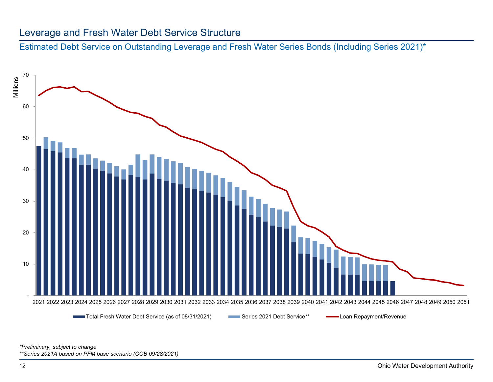#### Leverage and Fresh Water Debt Service Structure

Estimated Debt Service on Outstanding Leverage and Fresh Water Series Bonds (Including Series 2021)\*



*\*Preliminary, subject to change \*\*Series 2021A based on PFM base scenario (COB 09/28/2021)*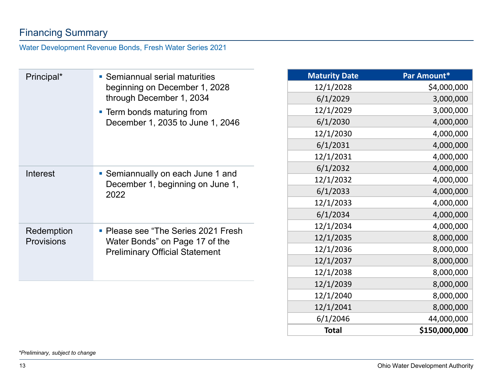# Financing Summary

#### Water Development Revenue Bonds, Fresh Water Series 2021

| Principal*        | • Semiannual serial maturities                                        | <b>Maturity Date</b> | Par Amount*   |
|-------------------|-----------------------------------------------------------------------|----------------------|---------------|
|                   | beginning on December 1, 2028                                         | 12/1/2028            | \$4,000,000   |
|                   | through December 1, 2034                                              | 6/1/2029             | 3,000,000     |
|                   | • Term bonds maturing from                                            | 12/1/2029            | 3,000,000     |
|                   | December 1, 2035 to June 1, 2046                                      | 6/1/2030             | 4,000,000     |
|                   |                                                                       | 12/1/2030            | 4,000,000     |
|                   |                                                                       | 6/1/2031             | 4,000,000     |
|                   |                                                                       | 12/1/2031            | 4,000,000     |
|                   |                                                                       | 6/1/2032             | 4,000,000     |
| <b>Interest</b>   | • Semiannually on each June 1 and<br>December 1, beginning on June 1, | 12/1/2032            | 4,000,000     |
|                   | 2022                                                                  | 6/1/2033             | 4,000,000     |
|                   |                                                                       | 12/1/2033            | 4,000,000     |
|                   |                                                                       | 6/1/2034             | 4,000,000     |
| Redemption        | • Please see "The Series 2021 Fresh                                   | 12/1/2034            | 4,000,000     |
| <b>Provisions</b> | Water Bonds" on Page 17 of the                                        | 12/1/2035            | 8,000,000     |
|                   | <b>Preliminary Official Statement</b>                                 | 12/1/2036            | 8,000,000     |
|                   |                                                                       | 12/1/2037            | 8,000,000     |
|                   |                                                                       | 12/1/2038            | 8,000,000     |
|                   |                                                                       | 12/1/2039            | 8,000,000     |
|                   |                                                                       | 12/1/2040            | 8,000,000     |
|                   |                                                                       | 12/1/2041            | 8,000,000     |
|                   |                                                                       | 6/1/2046             | 44,000,000    |
|                   |                                                                       | <b>Total</b>         | \$150,000,000 |

*\*Preliminary, subject to change*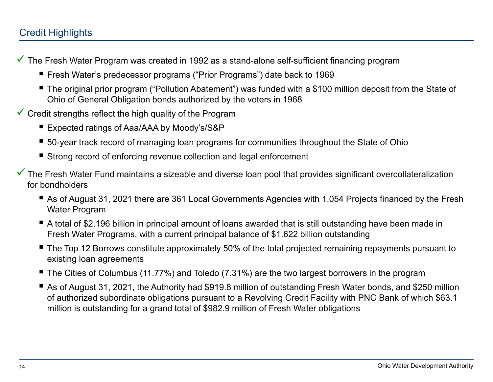# Credit Highlights

- $\checkmark$  The Fresh Water Program was created in 1992 as a stand-alone self-sufficient financing program
	- Fresh Water's predecessor programs ("Prior Programs") date back to 1969
	- The original prior program ("Pollution Abatement") was funded with a \$100 million deposit from the State of Ohio of General Obligation bonds authorized by the voters in 1968
- $\checkmark$  Credit strengths reflect the high quality of the Program
	- Expected ratings of Aaa/AAA by Moody's/S&P
	- 50-year track record of managing loan programs for communities throughout the State of Ohio
	- Strong record of enforcing revenue collection and legal enforcement
- $\checkmark$  The Fresh Water Fund maintains a sizeable and diverse loan pool that provides significant overcollateralization for bondholders
	- As of August 31, 2021 there are 361 Local Governments Agencies with 1,054 Projects financed by the Fresh Water Program
	- A total of \$2.196 billion in principal amount of loans awarded that is still outstanding have been made in Fresh Water Programs, with a current principal balance of \$1.622 billion outstanding
	- The Top 12 Borrows constitute approximately 50% of the total projected remaining repayments pursuant to existing loan agreements
	- The Cities of Columbus (11.77%) and Toledo (7.31%) are the two largest borrowers in the program
	- As of August 31, 2021, the Authority had \$919.8 million of outstanding Fresh Water bonds, and \$250 million of authorized subordinate obligations pursuant to a Revolving Credit Facility with PNC Bank of which \$63.1 million is outstanding for a grand total of \$982.9 million of Fresh Water obligations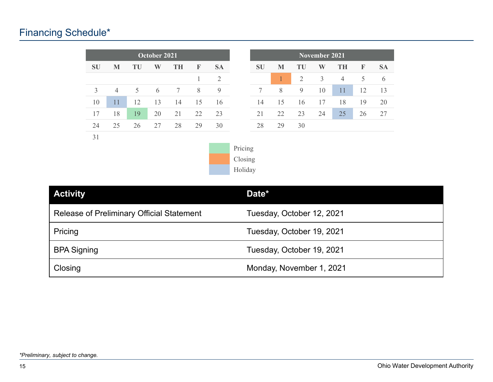# Financing Schedule\*

|           |                |    | October 2021 |           |    |           |
|-----------|----------------|----|--------------|-----------|----|-----------|
| <b>SU</b> | M              | TU | W            | <b>TH</b> | F  | <b>SA</b> |
|           |                |    |              |           |    | 2         |
| 3         | $\overline{4}$ | 5  | 6            | 7         | 8  | 9         |
| 10        | 11             | 12 | 13           | 14        | 15 | 16        |
| 17        | 18             | 19 | 20           | 21        | 22 | 23        |
| 24        | 25             | 26 | 27           | 28        | 29 | 30        |
| 31        |                |    |              |           |    |           |





| <b>Activity</b>                                  | Date*                     |
|--------------------------------------------------|---------------------------|
| <b>Release of Preliminary Official Statement</b> | Tuesday, October 12, 2021 |
| Pricing                                          | Tuesday, October 19, 2021 |
| <b>BPA Signing</b>                               | Tuesday, October 19, 2021 |
| Closing                                          | Monday, November 1, 2021  |